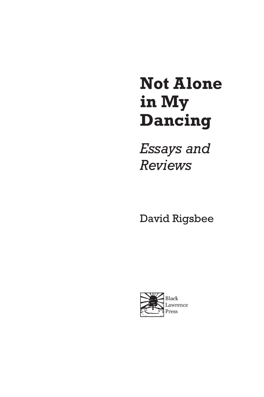# **Not Alone in My Dancing**

*Essays and Reviews* 

David Rigsbee

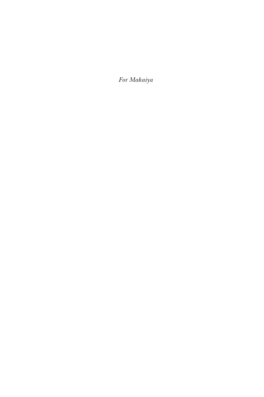*For Makaiya*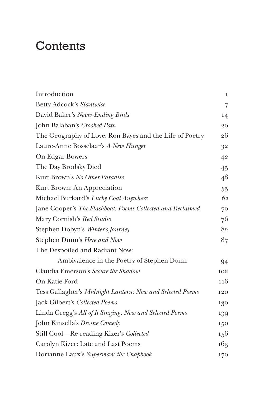## **Contents**

| Introduction                                               | $\mathbf{1}$   |
|------------------------------------------------------------|----------------|
| <b>Betty Adcock's Slantwise</b>                            | $\overline{7}$ |
| David Baker's Never-Ending Birds                           | 14             |
| John Balaban's Crooked Path                                | 20             |
| The Geography of Love: Ron Bayes and the Life of Poetry    | 26             |
| Laure-Anne Bosselaar's A New Hunger                        | 32             |
| On Edgar Bowers                                            | 42             |
| The Day Brodsky Died                                       | 45             |
| Kurt Brown's No Other Paradise                             | 48             |
| Kurt Brown: An Appreciation                                | 55             |
| Michael Burkard's Lucky Coat Anywhere                      | 62             |
| Jane Cooper's The Flashboat: Poems Collected and Reclaimed | 70             |
| Mary Cornish's Red Studio                                  | 76             |
| Stephen Dobyn's Winter's Journey                           | 82             |
| Stephen Dunn's Here and Now                                | 87             |
| The Despoiled and Radiant Now:                             |                |
| Ambivalence in the Poetry of Stephen Dunn                  | 94             |
| Claudia Emerson's Secure the Shadow                        | 102            |
| On Katie Ford                                              | 116            |
| Tess Gallagher's Midnight Lantern: New and Selected Poems  | 120            |
| Jack Gilbert's Collected Poems                             | 130            |
| Linda Gregg's All of It Singing: New and Selected Poems    | 139            |
| John Kinsella's Divine Comedy                              | 150            |
| Still Cool—Re-reading Kizer's Collected                    | 156            |
| Carolyn Kizer: Late and Last Poems                         | 163            |
| Dorianne Laux's Superman: the Chapbook                     | 170            |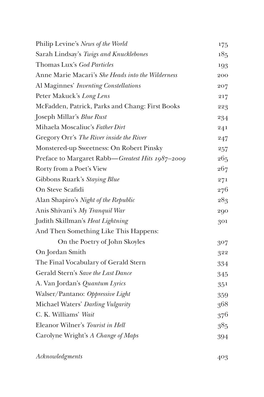| Philip Levine's News of the World                 | 175 |
|---------------------------------------------------|-----|
| Sarah Lindsay's Twigs and Knucklebones            | 185 |
| Thomas Lux's God Particles                        | 193 |
| Anne Marie Macari's She Heads into the Wilderness | 200 |
| Al Maginnes' Inventing Constellations             | 207 |
| Peter Makuck's Long Lens                          | 217 |
| McFadden, Patrick, Parks and Chang: First Books   | 223 |
| Joseph Millar's <i>Blue Rust</i>                  | 234 |
| Mihaela Moscaliuc's Father Dirt                   | 241 |
| Gregory Orr's The River inside the River          | 247 |
| Monstered-up Sweetness: On Robert Pinsky          | 257 |
| Preface to Margaret Rabb-Greatest Hits 1987-2009  | 265 |
| Rorty from a Poet's View                          | 267 |
| Gibbons Ruark's Staying Blue                      | 271 |
| On Steve Scafidi                                  | 276 |
| Alan Shapiro's Night of the Republic              | 283 |
| Anis Shivani's My Tranquil War                    | 290 |
| Judith Skillman's Heat Lightning                  | 301 |
| And Then Something Like This Happens:             |     |
| On the Poetry of John Skoyles                     | 307 |
| On Jordan Smith                                   | 322 |
| The Final Vocabulary of Gerald Stern              | 334 |
| Gerald Stern's Save the Last Dance                | 345 |
| A. Van Jordan's Quantum Lyrics                    | 351 |
| Walser/Pantano: Oppressive Light                  | 359 |
| Michael Waters' Darling Vulgarity                 | 368 |
| C. K. Williams' Wait                              | 376 |
| Eleanor Wilner's Tourist in Hell                  | 385 |
| Carolyne Wright's A Change of Maps                | 394 |
|                                                   |     |

*Acknowledgments* 403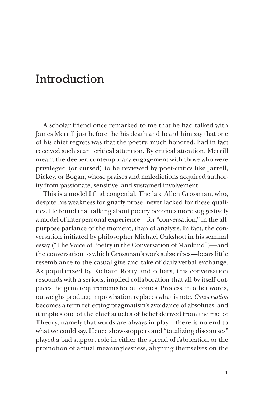### Introduction

A scholar friend once remarked to me that he had talked with James Merrill just before the his death and heard him say that one of his chief regrets was that the poetry, much honored, had in fact received such scant critical attention. By critical attention, Merrill meant the deeper, contemporary engagement with those who were privileged (or cursed) to be reviewed by poet-critics like Jarrell, Dickey, or Bogan, whose praises and maledictions acquired authority from passionate, sensitive, and sustained involvement.

This is a model I fnd congenial. The late Allen Grossman, who, despite his weakness for gnarly prose, never lacked for these qualities. He found that talking about poetry becomes more suggestively a model of interpersonal experience—for "conversation," in the allpurpose parlance of the moment, than of analysis. In fact, the conversation initiated by philosopher Michael Oakshott in his seminal essay ("The Voice of Poetry in the Conversation of Mankind")—and the conversation to which Grossman's work subscribes—bears little resemblance to the casual give-and-take of daily verbal exchange. As popularized by Richard Rorty and others, this conversation resounds with a serious, implied collaboration that all by itself outpaces the grim requirements for outcomes. Process, in other words, outweighs product; improvisation replaces what is rote. *Conversation* becomes a term refecting pragmatism's avoidance of absolutes, and it implies one of the chief articles of belief derived from the rise of Theory, namely that words are always in play—there is no end to what we could say. Hence show-stoppers and "totalizing discourses" played a bad support role in either the spread of fabrication or the promotion of actual meaninglessness, aligning themselves on the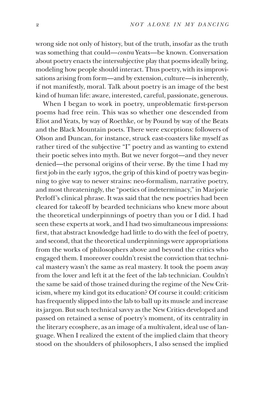wrong side not only of history, but of the truth, insofar as the truth was something that could—*contra* Yeats—be known. Conversation about poetry enacts the intersubjective play that poems ideally bring, modeling how people should interact. Thus poetry, with its improvisations arising from form—and by extension, culture—is inherently, if not manifestly, moral. Talk about poetry is an image of the best kind of human life: aware, interested, careful, passionate, generous.

When I began to work in poetry, unproblematic frst-person poems had free rein. This was so whether one descended from Eliot and Yeats, by way of Roethke, or by Pound by way of the Beats and the Black Mountain poets. There were exceptions: followers of Olson and Duncan, for instance, struck east-coasters like myself as rather tired of the subjective "I" poetry and as wanting to extend their poetic selves into myth. But we never forgot—and they never denied—the personal origins of their verse. By the time I had my frst job in the early 1970s, the grip of this kind of poetry was beginning to give way to newer strains: neo-formalism, narrative poetry, and most threateningly, the "poetics of indeterminacy," in Marjorie Perloff's clinical phrase. It was said that the new poetries had been cleared for takeoff by bearded technicians who knew more about the theoretical underpinnings of poetry than you or I did. I had seen these experts at work, and I had two simultaneous impressions: frst, that abstract knowledge had little to do with the feel of poetry, and second, that the theoretical underpinnings were appropriations from the works of philosophers above and beyond the critics who engaged them. I moreover couldn't resist the conviction that technical mastery wasn't the same as real mastery. It took the poem away from the lover and left it at the feet of the lab technician. Couldn't the same be said of those trained during the regime of the New Criticism, where my kind got its education? Of course it could: criticism has frequently slipped into the lab to ball up its muscle and increase its jargon. But such technical savvy as the New Critics developed and passed on retained a sense of poetry's moment, of its centrality in the literary ecosphere, as an image of a multivalent, ideal use of language. When I realized the extent of the implied claim that theory stood on the shoulders of philosophers, I also sensed the implied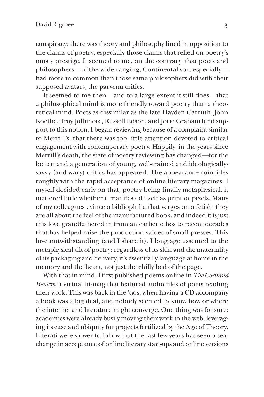conspiracy: there was theory and philosophy lined in opposition to the claims of poetry, especially those claims that relied on poetry's musty prestige. It seemed to me, on the contrary, that poets and philosophers—of the wide-ranging, Continental sort especially had more in common than those same philosophers did with their supposed avatars, the parvenu critics.

It seemed to me then—and to a large extent it still does—that a philosophical mind is more friendly toward poetry than a theoretical mind. Poets as dissimilar as the late Hayden Carruth, John Koethe, Troy Jollimore, Russell Edson, and Jorie Graham lend support to this notion. I began reviewing because of a complaint similar to Merrill's, that there was too little attention devoted to critical engagement with contemporary poetry. Happily, in the years since Merrill's death, the state of poetry reviewing has changed—for the better, and a generation of young, well-trained and ideologicallysavvy (and wary) critics has appeared. The appearance coincides roughly with the rapid acceptance of online literary magazines. I myself decided early on that, poetry being fnally metaphysical, it mattered little whether it manifested itself as print or pixels. Many of my colleagues evince a bibliophilia that verges on a fetish: they are all about the feel of the manufactured book, and indeed it is just this love grandfathered in from an earlier ethos to recent decades that has helped raise the production values of small presses. This love notwithstanding (and I share it), I long ago assented to the metaphysical tilt of poetry: regardless of its skin and the materiality of its packaging and delivery, it's essentially language at home in the memory and the heart, not just the chilly bed of the page.

With that in mind, I frst published poems online in *The Cortland Review*, a virtual lit-mag that featured audio fles of poets reading their work. This was back in the '90s, when having a CD accompany a book was a big deal, and nobody seemed to know how or where the internet and literature might converge. One thing was for sure: academics were already busily moving their work to the web, leveraging its ease and ubiquity for projects fertilized by the Age of Theory. Literati were slower to follow, but the last few years has seen a seachange in acceptance of online literary start-ups and online versions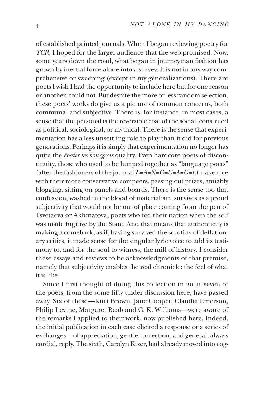of established printed journals. When I began reviewing poetry for *TCR*, I hoped for the larger audience that the web promised. Now, some years down the road, what began in journeyman fashion has grown by inertial force alone into a survey. It is not in any way comprehensive or sweeping (except in my generalizations). There are poets I wish I had the opportunity to include here but for one reason or another, could not. But despite the more or less random selection, these poets' works do give us a picture of common concerns, both communal and subjective. There is, for instance, in most cases, a sense that the personal is the reversible coat of the social, construed as political, sociological, or mythical. There is the sense that experimentation has a less unsettling role to play than it did for previous generations. Perhaps it is simply that experimentation no longer has quite the *épater les bourgeois* quality. Even hardcore poets of discontinuity, those who used to be lumped together as "language poets" (after the fashioners of the journal *L=A=N=G=U=A=G=E)* make nice with their more conservative compeers, passing out prizes, amiably blogging, sitting on panels and boards. There is the sense too that confession, washed in the blood of materialism, survives as a proud subjectivity that would not be out of place coming from the pen of Tsvetaeva or Akhmatova, poets who fed their nation when the self was made fugitive by the State. And that means that authenticity is making a comeback, as if, having survived the scrutiny of defationary critics, it made sense for the singular lyric voice to add its testimony to, and for the soul to witness, the mill of history. I consider these essays and reviews to be acknowledgments of that premise, namely that subjectivity enables the real chronicle: the feel of what it is like.

Since I frst thought of doing this collection in 2012, seven of the poets, from the some ffty under discussion here, have passed away. Six of these—Kurt Brown, Jane Cooper, Claudia Emerson, Philip Levine, Margaret Raab and C. K. Williams—were aware of the remarks I applied to their work, now published here. Indeed, the initial publication in each case elicited a response or a series of exchanges—of appreciation, gentle correction, and general, always cordial, reply. The sixth, Carolyn Kizer, had already moved into cog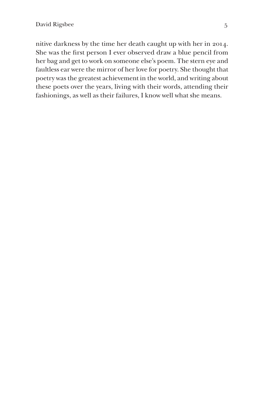nitive darkness by the time her death caught up with her in 2014. She was the frst person I ever observed draw a blue pencil from her bag and get to work on someone else's poem. The stern eye and faultless ear were the mirror of her love for poetry. She thought that poetry was the greatest achievement in the world, and writing about these poets over the years, living with their words, attending their fashionings, as well as their failures, I know well what she means.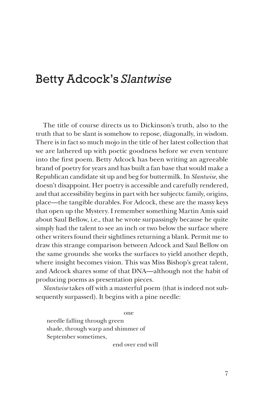#### Betty Adcock's *Slantwise*

The title of course directs us to Dickinson's truth, also to the truth that to be slant is somehow to repose, diagonally, in wisdom. There is in fact so much mojo in the title of her latest collection that we are lathered up with poetic goodness before we even venture into the frst poem. Betty Adcock has been writing an agreeable brand of poetry for years and has built a fan base that would make a Republican candidate sit up and beg for buttermilk. In *Slantwise*, she doesn't disappoint. Her poetry is accessible and carefully rendered, and that accessibility begins in part with her subjects: family, origins, place—the tangible durables. For Adcock, these are the massy keys that open up the Mystery. I remember something Martin Amis said about Saul Bellow, i.e., that he wrote surpassingly because he quite simply had the talent to see an inch or two below the surface where other writers found their sightlines returning a blank. Permit me to draw this strange comparison between Adcock and Saul Bellow on the same grounds: she works the surfaces to yield another depth, where insight becomes vision. This was Miss Bishop's great talent, and Adcock shares some of that DNA—although not the habit of producing poems as presentation pieces.

*Slantwise* takes off with a masterful poem (that is indeed not subsequently surpassed). It begins with a pine needle:

one

needle falling through green shade, through warp and shimmer of September sometimes,

end over end will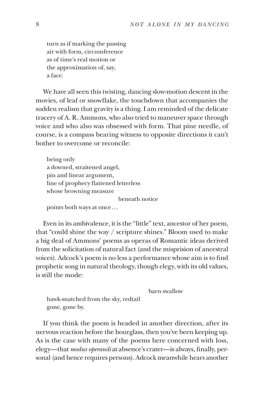turn as if marking the passing air with form, circumference as of time's real motion or the approximation of, say, a face.

We have all seen this twisting, dancing slow-motion descent in the movies, of leaf or snowfake, the touchdown that accompanies the sudden realism that gravity is a thing. I am reminded of the delicate tracery of A. R. Ammons, who also tried to maneuver space through voice and who also was obsessed with form. That pine needle, of course, is a compass bearing witness to opposite directions it can't bother to overcome or reconcile:

being only a downed, straitened angel, pin and linear argument, line of prophecy fattened letterless whose browning measure beneath notice points both ways at once...

Even in its ambivalence, it is the "little" text, ancestor of her poem, that "could shine the way / scripture shines." Bloom used to make a big deal of Ammons' poems as operas of Romantic ideas derived from the solicitation of natural fact (and the misprision of ancestral voices). Adcock's poem is no less a performance whose aim is to fnd prophetic song in natural theology, though elegy, with its old values, is still the mode:

barn swallow

hawk-snatched from the sky, redtail gone, gone by.

If you think the poem is headed in another direction, after its nervous reaction before the hourglass, then you've been keeping up. As is the case with many of the poems here concerned with loss, elegy—that *modus operandi* at absence's crater—is always, fnally, personal (and hence requires persons). Adcock meanwhile hears another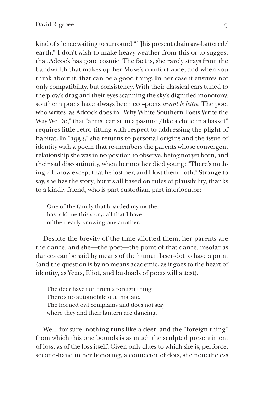kind of silence waiting to surround "[t]his present chainsaw-battered/ earth." I don't wish to make heavy weather from this or to suggest that Adcock has gone cosmic. The fact is, she rarely strays from the bandwidth that makes up her Muse's comfort zone, and when you think about it, that can be a good thing. In her case it ensures not only compatibility, but consistency. With their classical ears tuned to the plow's drag and their eyes scanning the sky's dignifed monotony, southern poets have always been eco-poets *avant le lettre*. The poet who writes, as Adcock does in "Why White Southern Poets Write the Way We Do," that "a mist can sit in a pasture / like a cloud in a basket" requires little retro-ftting with respect to addressing the plight of habitat. In "1932," she returns to personal origins and the issue of identity with a poem that re-members the parents whose convergent relationship she was in no position to observe, being not yet born, and their sad discontinuity, when her mother died young: "There's nothing / I know except that he lost her, and I lost them both." Strange to say, she has the story, but it's all based on rules of plausibility, thanks to a kindly friend, who is part custodian, part interlocutor:

One of the family that boarded my mother has told me this story: all that I have of their early knowing one another.

Despite the brevity of the time allotted them, her parents are the dance, and she—the poet—the point of that dance, insofar as dances can be said by means of the human laser-dot to have a point (and the question is by no means academic, as it goes to the heart of identity, as Yeats, Eliot, and busloads of poets will attest).

The deer have run from a foreign thing. There's no automobile out this late. The horned owl complains and does not stay where they and their lantern are dancing.

Well, for sure, nothing runs like a deer, and the "foreign thing" from which this one bounds is as much the sculpted presentiment of loss, as of the loss itself. Given only clues to which she is, perforce, second-hand in her honoring, a connector of dots, she nonetheless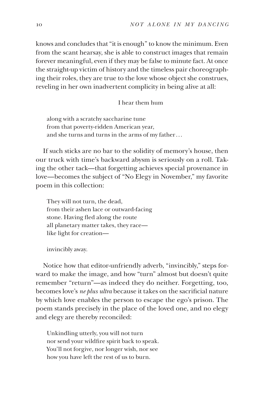knows and concludes that "it is enough" to know the minimum. Even from the scant hearsay, she is able to construct images that remain forever meaningful, even if they may be false to minute fact. At once the straight-up victim of history and the timeless pair choreographing their roles, they are true to the love whose object she construes, reveling in her own inadvertent complicity in being alive at all:

#### I hear them hum

along with a scratchy saccharine tune from that poverty-ridden American year, and she turns and turns in the arms of my father ...

If such sticks are no bar to the solidity of memory's house, then our truck with time's backward abysm is seriously on a roll. Taking the other tack—that forgetting achieves special provenance in love—becomes the subject of "No Elegy in November," my favorite poem in this collection:

They will not turn, the dead, from their ashen lace or outward-facing stone. Having fled along the route all planetary matter takes, they race like light for creation—

invincibly away.

Notice how that editor-unfriendly adverb, "invincibly," steps forward to make the image, and how "turn" almost but doesn't quite remember "return"—as indeed they do neither. Forgetting, too, becomes love's *ne plus ultra* because it takes on the sacrifcial nature by which love enables the person to escape the ego's prison. The poem stands precisely in the place of the loved one, and no elegy and elegy are thereby reconciled:

Unkindling utterly, you will not turn nor send your wildfre spirit back to speak. You'll not forgive, nor longer wish, nor see how you have left the rest of us to burn.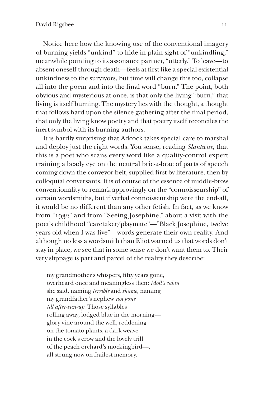Notice here how the knowing use of the conventional imagery of burning yields "unkind" to hide in plain sight of "unkindling," meanwhile pointing to its assonance partner, "utterly." To leave—to absent oneself through death—feels at frst like a special existential unkindness to the survivors, but time will change this too, collapse all into the poem and into the fnal word "burn." The point, both obvious and mysterious at once, is that only the living "burn," that living is itself burning. The mystery lies with the thought, a thought that follows hard upon the silence gathering after the fnal period, that only the living know poetry and that poetry itself reconciles the inert symbol with its burning authors.

It is hardly surprising that Adcock takes special care to marshal and deploy just the right words. You sense, reading *Slantwise*, that this is a poet who scans every word like a quality-control expert training a beady eye on the neutral bric-a-brac of parts of speech coming down the conveyor belt, supplied frst by literature, then by colloquial conversants. It is of course of the essence of middle-brow conventionality to remark approvingly on the "connoisseurship" of certain wordsmiths, but if verbal connoisseurship were the end-all, it would be no different than any other fetish. In fact, as we know from "1932" and from "Seeing Josephine," about a visit with the poet's childhood "caretaker/playmate"—"Black Josephine, twelve years old when I was fve"—words generate their own reality. And although no less a wordsmith than Eliot warned us that words don't stay in place, we see that in some sense we don't want them to. Their very slippage is part and parcel of the reality they describe:

my grandmother's whispers, ffty years gone, overheard once and meaningless then: *Moll's cabin* she said, naming *terrible* and *shame*, naming my grandfather's nephew *not gone till after-sun-up*. Those syllables rolling away, lodged blue in the morning glory vine around the well, reddening on the tomato plants, a dark weave in the cock's crow and the lovely trill of the peach orchard's mockingbird—' all strung now on frailest memory.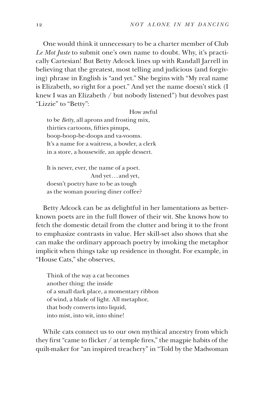One would think it unnecessary to be a charter member of Club *Le Mot Juste* to submit one's own name to doubt. Why, it's practically Cartesian! But Betty Adcock lines up with Randall Jarrell in believing that the greatest, most telling and judicious (and forgiving) phrase in English is "and yet." She begins with "My real name is Elizabeth, so right for a poet." And yet the name doesn't stick (I knew I was an Elizabeth / but nobody listened") but devolves past "Lizzie" to "Betty":

How awful

to be *Betty*, all aprons and frosting mix, thirties cartoons, ffties pinups, boop-boop-be-doops and va-vooms. It's a name for a waitress, a bowler, a clerk in a store, a housewife, an apple dessert.

It is never, ever, the name of a poet. And yet... and yet, doesn't poetry have to be as tough as the woman pouring diner coffee?

Betty Adcock can be as delightful in her lamentations as betterknown poets are in the full flower of their wit. She knows how to fetch the domestic detail from the clutter and bring it to the front to emphasize contrasts in value. Her skill-set also shows that she can make the ordinary approach poetry by invoking the metaphor implicit when things take up residence in thought. For example, in "House Cats," she observes,

Think of the way a cat becomes another thing: the inside of a small dark place, a momentary ribbon of wind, a blade of light. All metaphor, that body converts into liquid, into mist, into wit, into shine!

While cats connect us to our own mythical ancestry from which they frst "came to ficker / at temple fres," the magpie habits of the quilt-maker for "an inspired treachery" in "Told by the Madwoman